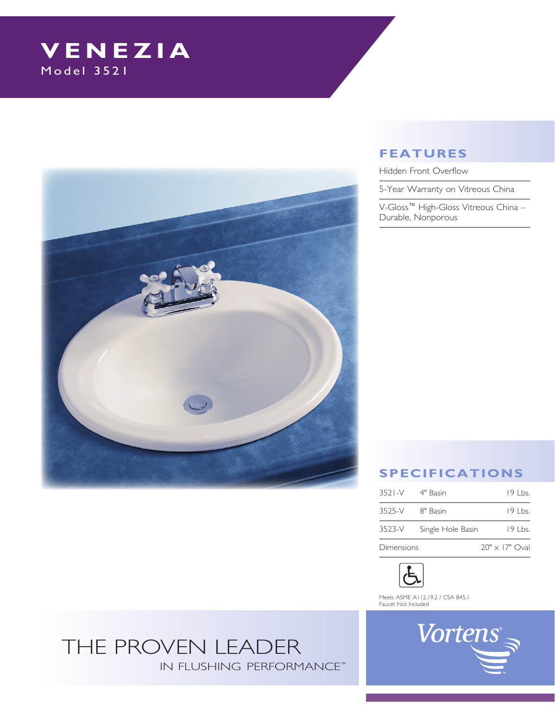# **VENEZIA**<br>Model 3521



## **Features**

Hidden Front Overflow

5-Year Warranty on Vitreous China

V-Gloss™ High-Gloss Vitreous China – Durable, Nonporous

# **Specifications**

| 3521-V 4" Basin   |                   | $19$ Lbs.             |
|-------------------|-------------------|-----------------------|
| 3525-V 8" Basin   |                   | $19$ Lbs.             |
| 3523-V            | Single Hole Basin | 19 Lbs.               |
| <b>Dimensions</b> |                   | $20" \times 17"$ Oval |



Meets ASME A112.19.2 / CSA B45.1 Faucet Not Included

# THE PROVEN LEADER IN FLUSHING PERFORMANCE™